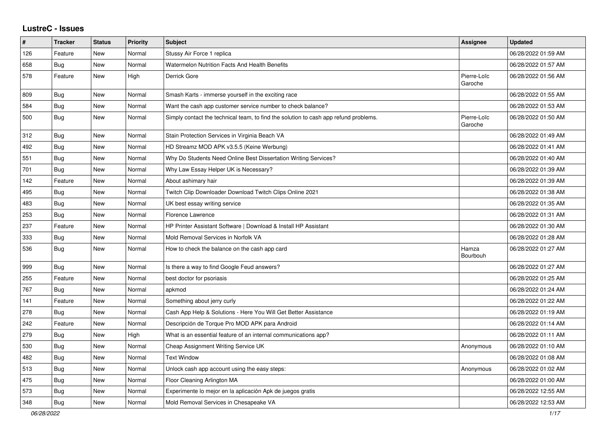## **LustreC - Issues**

| #   | <b>Tracker</b> | <b>Status</b> | <b>Priority</b> | <b>Subject</b>                                                                       | Assignee               | <b>Updated</b>      |
|-----|----------------|---------------|-----------------|--------------------------------------------------------------------------------------|------------------------|---------------------|
| 126 | Feature        | New           | Normal          | Stussy Air Force 1 replica                                                           |                        | 06/28/2022 01:59 AM |
| 658 | Bug            | New           | Normal          | Watermelon Nutrition Facts And Health Benefits                                       |                        | 06/28/2022 01:57 AM |
| 578 | Feature        | <b>New</b>    | High            | Derrick Gore                                                                         | Pierre-Loïc<br>Garoche | 06/28/2022 01:56 AM |
| 809 | Bug            | New           | Normal          | Smash Karts - immerse yourself in the exciting race                                  |                        | 06/28/2022 01:55 AM |
| 584 | <b>Bug</b>     | <b>New</b>    | Normal          | Want the cash app customer service number to check balance?                          |                        | 06/28/2022 01:53 AM |
| 500 | Bug            | <b>New</b>    | Normal          | Simply contact the technical team, to find the solution to cash app refund problems. | Pierre-Loïc<br>Garoche | 06/28/2022 01:50 AM |
| 312 | Bug            | <b>New</b>    | Normal          | Stain Protection Services in Virginia Beach VA                                       |                        | 06/28/2022 01:49 AM |
| 492 | Bug            | New           | Normal          | HD Streamz MOD APK v3.5.5 (Keine Werbung)                                            |                        | 06/28/2022 01:41 AM |
| 551 | Bug            | New           | Normal          | Why Do Students Need Online Best Dissertation Writing Services?                      |                        | 06/28/2022 01:40 AM |
| 701 | <b>Bug</b>     | New           | Normal          | Why Law Essay Helper UK is Necessary?                                                |                        | 06/28/2022 01:39 AM |
| 142 | Feature        | New           | Normal          | About ashimary hair                                                                  |                        | 06/28/2022 01:39 AM |
| 495 | <b>Bug</b>     | New           | Normal          | Twitch Clip Downloader Download Twitch Clips Online 2021                             |                        | 06/28/2022 01:38 AM |
| 483 | Bug            | New           | Normal          | UK best essay writing service                                                        |                        | 06/28/2022 01:35 AM |
| 253 | <b>Bug</b>     | New           | Normal          | Florence Lawrence                                                                    |                        | 06/28/2022 01:31 AM |
| 237 | Feature        | New           | Normal          | HP Printer Assistant Software   Download & Install HP Assistant                      |                        | 06/28/2022 01:30 AM |
| 333 | <b>Bug</b>     | New           | Normal          | Mold Removal Services in Norfolk VA                                                  |                        | 06/28/2022 01:28 AM |
| 536 | Bug            | New           | Normal          | How to check the balance on the cash app card                                        | Hamza<br>Bourbouh      | 06/28/2022 01:27 AM |
| 999 | Bug            | New           | Normal          | Is there a way to find Google Feud answers?                                          |                        | 06/28/2022 01:27 AM |
| 255 | Feature        | New           | Normal          | best doctor for psoriasis                                                            |                        | 06/28/2022 01:25 AM |
| 767 | Bug            | New           | Normal          | apkmod                                                                               |                        | 06/28/2022 01:24 AM |
| 141 | Feature        | New           | Normal          | Something about jerry curly                                                          |                        | 06/28/2022 01:22 AM |
| 278 | <b>Bug</b>     | New           | Normal          | Cash App Help & Solutions - Here You Will Get Better Assistance                      |                        | 06/28/2022 01:19 AM |
| 242 | Feature        | <b>New</b>    | Normal          | Descripción de Torque Pro MOD APK para Android                                       |                        | 06/28/2022 01:14 AM |
| 279 | Bug            | New           | High            | What is an essential feature of an internal communications app?                      |                        | 06/28/2022 01:11 AM |
| 530 | Bug            | New           | Normal          | Cheap Assignment Writing Service UK                                                  | Anonymous              | 06/28/2022 01:10 AM |
| 482 | <b>Bug</b>     | <b>New</b>    | Normal          | <b>Text Window</b>                                                                   |                        | 06/28/2022 01:08 AM |
| 513 | <b>Bug</b>     | New           | Normal          | Unlock cash app account using the easy steps:                                        | Anonymous              | 06/28/2022 01:02 AM |
| 475 | <b>Bug</b>     | New           | Normal          | Floor Cleaning Arlington MA                                                          |                        | 06/28/2022 01:00 AM |
| 573 | <b>Bug</b>     | New           | Normal          | Experimente lo mejor en la aplicación Apk de juegos gratis                           |                        | 06/28/2022 12:55 AM |
| 348 | <b>Bug</b>     | New           | Normal          | Mold Removal Services in Chesapeake VA                                               |                        | 06/28/2022 12:53 AM |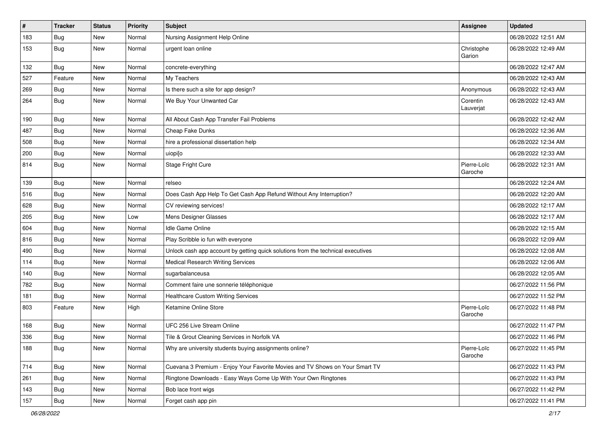| $\vert$ # | <b>Tracker</b> | <b>Status</b> | <b>Priority</b> | <b>Subject</b>                                                                   | Assignee               | <b>Updated</b>      |
|-----------|----------------|---------------|-----------------|----------------------------------------------------------------------------------|------------------------|---------------------|
| 183       | <b>Bug</b>     | New           | Normal          | Nursing Assignment Help Online                                                   |                        | 06/28/2022 12:51 AM |
| 153       | <b>Bug</b>     | New           | Normal          | urgent loan online                                                               | Christophe<br>Garion   | 06/28/2022 12:49 AM |
| 132       | Bug            | New           | Normal          | concrete-everything                                                              |                        | 06/28/2022 12:47 AM |
| 527       | Feature        | New           | Normal          | My Teachers                                                                      |                        | 06/28/2022 12:43 AM |
| 269       | Bug            | New           | Normal          | Is there such a site for app design?                                             | Anonymous              | 06/28/2022 12:43 AM |
| 264       | <b>Bug</b>     | New           | Normal          | We Buy Your Unwanted Car                                                         | Corentin<br>Lauverjat  | 06/28/2022 12:43 AM |
| 190       | Bug            | New           | Normal          | All About Cash App Transfer Fail Problems                                        |                        | 06/28/2022 12:42 AM |
| 487       | <b>Bug</b>     | New           | Normal          | Cheap Fake Dunks                                                                 |                        | 06/28/2022 12:36 AM |
| 508       | <b>Bug</b>     | New           | Normal          | hire a professional dissertation help                                            |                        | 06/28/2022 12:34 AM |
| 200       | <b>Bug</b>     | New           | Normal          | uiopi[o                                                                          |                        | 06/28/2022 12:33 AM |
| 814       | <b>Bug</b>     | New           | Normal          | <b>Stage Fright Cure</b>                                                         | Pierre-Loïc<br>Garoche | 06/28/2022 12:31 AM |
| 139       | <b>Bug</b>     | New           | Normal          | relseo                                                                           |                        | 06/28/2022 12:24 AM |
| 516       | Bug            | New           | Normal          | Does Cash App Help To Get Cash App Refund Without Any Interruption?              |                        | 06/28/2022 12:20 AM |
| 628       | Bug            | New           | Normal          | CV reviewing services!                                                           |                        | 06/28/2022 12:17 AM |
| 205       | Bug            | New           | Low             | Mens Designer Glasses                                                            |                        | 06/28/2022 12:17 AM |
| 604       | <b>Bug</b>     | New           | Normal          | Idle Game Online                                                                 |                        | 06/28/2022 12:15 AM |
| 816       | <b>Bug</b>     | New           | Normal          | Play Scribble io fun with everyone                                               |                        | 06/28/2022 12:09 AM |
| 490       | Bug            | New           | Normal          | Unlock cash app account by getting quick solutions from the technical executives |                        | 06/28/2022 12:08 AM |
| 114       | <b>Bug</b>     | New           | Normal          | <b>Medical Research Writing Services</b>                                         |                        | 06/28/2022 12:06 AM |
| 140       | Bug            | New           | Normal          | sugarbalanceusa                                                                  |                        | 06/28/2022 12:05 AM |
| 782       | <b>Bug</b>     | New           | Normal          | Comment faire une sonnerie téléphonique                                          |                        | 06/27/2022 11:56 PM |
| 181       | <b>Bug</b>     | New           | Normal          | <b>Healthcare Custom Writing Services</b>                                        |                        | 06/27/2022 11:52 PM |
| 803       | Feature        | New           | High            | Ketamine Online Store                                                            | Pierre-Loïc<br>Garoche | 06/27/2022 11:48 PM |
| 168       | <b>Bug</b>     | New           | Normal          | UFC 256 Live Stream Online                                                       |                        | 06/27/2022 11:47 PM |
| 336       | Bug            | New           | Normal          | Tile & Grout Cleaning Services in Norfolk VA                                     |                        | 06/27/2022 11:46 PM |
| 188       | <b>Bug</b>     | New           | Normal          | Why are university students buying assignments online?                           | Pierre-Loïc<br>Garoche | 06/27/2022 11:45 PM |
| 714       | <b>Bug</b>     | New           | Normal          | Cuevana 3 Premium - Enjoy Your Favorite Movies and TV Shows on Your Smart TV     |                        | 06/27/2022 11:43 PM |
| 261       | Bug            | New           | Normal          | Ringtone Downloads - Easy Ways Come Up With Your Own Ringtones                   |                        | 06/27/2022 11:43 PM |
| 143       | <b>Bug</b>     | New           | Normal          | Bob lace front wigs                                                              |                        | 06/27/2022 11:42 PM |
| 157       | Bug            | New           | Normal          | Forget cash app pin                                                              |                        | 06/27/2022 11:41 PM |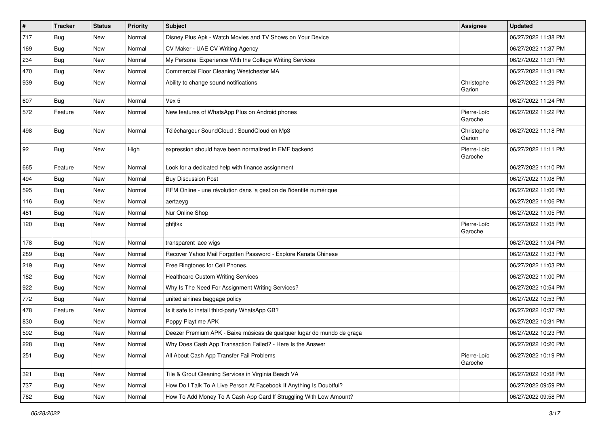| $\vert$ # | <b>Tracker</b> | <b>Status</b> | <b>Priority</b> | <b>Subject</b>                                                         | Assignee               | <b>Updated</b>      |
|-----------|----------------|---------------|-----------------|------------------------------------------------------------------------|------------------------|---------------------|
| 717       | <b>Bug</b>     | New           | Normal          | Disney Plus Apk - Watch Movies and TV Shows on Your Device             |                        | 06/27/2022 11:38 PM |
| 169       | Bug            | New           | Normal          | CV Maker - UAE CV Writing Agency                                       |                        | 06/27/2022 11:37 PM |
| 234       | Bug            | New           | Normal          | My Personal Experience With the College Writing Services               |                        | 06/27/2022 11:31 PM |
| 470       | <b>Bug</b>     | New           | Normal          | Commercial Floor Cleaning Westchester MA                               |                        | 06/27/2022 11:31 PM |
| 939       | <b>Bug</b>     | New           | Normal          | Ability to change sound notifications                                  | Christophe<br>Garion   | 06/27/2022 11:29 PM |
| 607       | <b>Bug</b>     | New           | Normal          | Vex 5                                                                  |                        | 06/27/2022 11:24 PM |
| 572       | Feature        | New           | Normal          | New features of WhatsApp Plus on Android phones                        | Pierre-Loïc<br>Garoche | 06/27/2022 11:22 PM |
| 498       | <b>Bug</b>     | New           | Normal          | Téléchargeur SoundCloud : SoundCloud en Mp3                            | Christophe<br>Garion   | 06/27/2022 11:18 PM |
| 92        | <b>Bug</b>     | New           | High            | expression should have been normalized in EMF backend                  | Pierre-Loïc<br>Garoche | 06/27/2022 11:11 PM |
| 665       | Feature        | New           | Normal          | Look for a dedicated help with finance assignment                      |                        | 06/27/2022 11:10 PM |
| 494       | <b>Bug</b>     | New           | Normal          | <b>Buy Discussion Post</b>                                             |                        | 06/27/2022 11:08 PM |
| 595       | Bug            | New           | Normal          | RFM Online - une révolution dans la gestion de l'identité numérique    |                        | 06/27/2022 11:06 PM |
| 116       | <b>Bug</b>     | New           | Normal          | aertaeyg                                                               |                        | 06/27/2022 11:06 PM |
| 481       | <b>Bug</b>     | New           | Normal          | Nur Online Shop                                                        |                        | 06/27/2022 11:05 PM |
| 120       | Bug            | New           | Normal          | ghfjtkx                                                                | Pierre-Loïc<br>Garoche | 06/27/2022 11:05 PM |
| 178       | <b>Bug</b>     | New           | Normal          | transparent lace wigs                                                  |                        | 06/27/2022 11:04 PM |
| 289       | <b>Bug</b>     | New           | Normal          | Recover Yahoo Mail Forgotten Password - Explore Kanata Chinese         |                        | 06/27/2022 11:03 PM |
| 219       | <b>Bug</b>     | New           | Normal          | Free Ringtones for Cell Phones.                                        |                        | 06/27/2022 11:03 PM |
| 182       | Bug            | New           | Normal          | <b>Healthcare Custom Writing Services</b>                              |                        | 06/27/2022 11:00 PM |
| 922       | <b>Bug</b>     | New           | Normal          | Why Is The Need For Assignment Writing Services?                       |                        | 06/27/2022 10:54 PM |
| 772       | <b>Bug</b>     | <b>New</b>    | Normal          | united airlines baggage policy                                         |                        | 06/27/2022 10:53 PM |
| 478       | Feature        | New           | Normal          | Is it safe to install third-party WhatsApp GB?                         |                        | 06/27/2022 10:37 PM |
| 830       | <b>Bug</b>     | New           | Normal          | Poppy Playtime APK                                                     |                        | 06/27/2022 10:31 PM |
| 592       | <b>Bug</b>     | New           | Normal          | Deezer Premium APK - Baixe músicas de qualquer lugar do mundo de graça |                        | 06/27/2022 10:23 PM |
| 228       | Bug            | New           | Normal          | Why Does Cash App Transaction Failed? - Here Is the Answer             |                        | 06/27/2022 10:20 PM |
| 251       | Bug            | New           | Normal          | All About Cash App Transfer Fail Problems                              | Pierre-Loïc<br>Garoche | 06/27/2022 10:19 PM |
| 321       | <b>Bug</b>     | New           | Normal          | Tile & Grout Cleaning Services in Virginia Beach VA                    |                        | 06/27/2022 10:08 PM |
| 737       | <b>Bug</b>     | New           | Normal          | How Do I Talk To A Live Person At Facebook If Anything Is Doubtful?    |                        | 06/27/2022 09:59 PM |
| 762       | Bug            | New           | Normal          | How To Add Money To A Cash App Card If Struggling With Low Amount?     |                        | 06/27/2022 09:58 PM |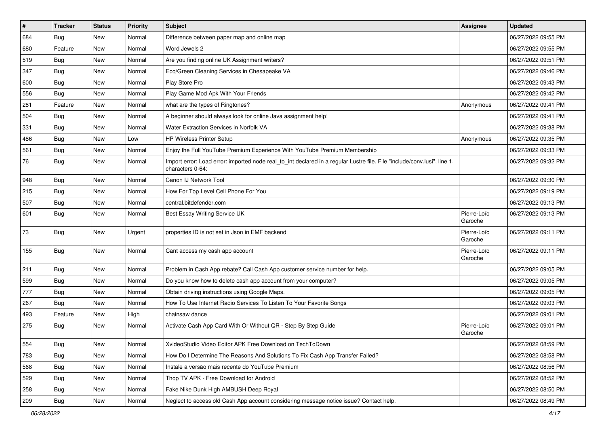| #   | <b>Tracker</b> | <b>Status</b> | <b>Priority</b> | <b>Subject</b>                                                                                                                               | <b>Assignee</b>        | <b>Updated</b>      |
|-----|----------------|---------------|-----------------|----------------------------------------------------------------------------------------------------------------------------------------------|------------------------|---------------------|
| 684 | <b>Bug</b>     | New           | Normal          | Difference between paper map and online map                                                                                                  |                        | 06/27/2022 09:55 PM |
| 680 | Feature        | New           | Normal          | Word Jewels 2                                                                                                                                |                        | 06/27/2022 09:55 PM |
| 519 | Bug            | New           | Normal          | Are you finding online UK Assignment writers?                                                                                                |                        | 06/27/2022 09:51 PM |
| 347 | <b>Bug</b>     | New           | Normal          | Eco/Green Cleaning Services in Chesapeake VA                                                                                                 |                        | 06/27/2022 09:46 PM |
| 600 | <b>Bug</b>     | New           | Normal          | Play Store Pro                                                                                                                               |                        | 06/27/2022 09:43 PM |
| 556 | <b>Bug</b>     | New           | Normal          | Play Game Mod Apk With Your Friends                                                                                                          |                        | 06/27/2022 09:42 PM |
| 281 | Feature        | New           | Normal          | what are the types of Ringtones?                                                                                                             | Anonymous              | 06/27/2022 09:41 PM |
| 504 | Bug            | <b>New</b>    | Normal          | A beginner should always look for online Java assignment help!                                                                               |                        | 06/27/2022 09:41 PM |
| 331 | Bug            | New           | Normal          | Water Extraction Services in Norfolk VA                                                                                                      |                        | 06/27/2022 09:38 PM |
| 486 | Bug            | New           | Low             | HP Wireless Printer Setup                                                                                                                    | Anonymous              | 06/27/2022 09:35 PM |
| 561 | Bug            | New           | Normal          | Enjoy the Full YouTube Premium Experience With YouTube Premium Membership                                                                    |                        | 06/27/2022 09:33 PM |
| 76  | <b>Bug</b>     | New           | Normal          | Import error: Load error: imported node real_to_int declared in a regular Lustre file. File "include/conv.lusi", line 1,<br>characters 0-64: |                        | 06/27/2022 09:32 PM |
| 948 | Bug            | New           | Normal          | Canon IJ Network Tool                                                                                                                        |                        | 06/27/2022 09:30 PM |
| 215 | Bug            | New           | Normal          | How For Top Level Cell Phone For You                                                                                                         |                        | 06/27/2022 09:19 PM |
| 507 | Bug            | <b>New</b>    | Normal          | central.bitdefender.com                                                                                                                      |                        | 06/27/2022 09:13 PM |
| 601 | <b>Bug</b>     | New           | Normal          | Best Essay Writing Service UK                                                                                                                | Pierre-Loïc<br>Garoche | 06/27/2022 09:13 PM |
| 73  | Bug            | New           | Urgent          | properties ID is not set in Json in EMF backend                                                                                              | Pierre-Loïc<br>Garoche | 06/27/2022 09:11 PM |
| 155 | <b>Bug</b>     | New           | Normal          | Cant access my cash app account                                                                                                              | Pierre-Loïc<br>Garoche | 06/27/2022 09:11 PM |
| 211 | <b>Bug</b>     | New           | Normal          | Problem in Cash App rebate? Call Cash App customer service number for help.                                                                  |                        | 06/27/2022 09:05 PM |
| 599 | Bug            | New           | Normal          | Do you know how to delete cash app account from your computer?                                                                               |                        | 06/27/2022 09:05 PM |
| 777 | <b>Bug</b>     | New           | Normal          | Obtain driving instructions using Google Maps.                                                                                               |                        | 06/27/2022 09:05 PM |
| 267 | <b>Bug</b>     | New           | Normal          | How To Use Internet Radio Services To Listen To Your Favorite Songs                                                                          |                        | 06/27/2022 09:03 PM |
| 493 | Feature        | New           | High            | chainsaw dance                                                                                                                               |                        | 06/27/2022 09:01 PM |
| 275 | <b>Bug</b>     | New           | Normal          | Activate Cash App Card With Or Without QR - Step By Step Guide                                                                               | Pierre-Loïc<br>Garoche | 06/27/2022 09:01 PM |
| 554 | Bug            | New           | Normal          | XvideoStudio Video Editor APK Free Download on TechToDown                                                                                    |                        | 06/27/2022 08:59 PM |
| 783 | Bug            | New           | Normal          | How Do I Determine The Reasons And Solutions To Fix Cash App Transfer Failed?                                                                |                        | 06/27/2022 08:58 PM |
| 568 | <b>Bug</b>     | New           | Normal          | Instale a versão mais recente do YouTube Premium                                                                                             |                        | 06/27/2022 08:56 PM |
| 529 | <b>Bug</b>     | New           | Normal          | Thop TV APK - Free Download for Android                                                                                                      |                        | 06/27/2022 08:52 PM |
| 258 | <b>Bug</b>     | New           | Normal          | Fake Nike Dunk High AMBUSH Deep Royal                                                                                                        |                        | 06/27/2022 08:50 PM |
| 209 | <b>Bug</b>     | New           | Normal          | Neglect to access old Cash App account considering message notice issue? Contact help.                                                       |                        | 06/27/2022 08:49 PM |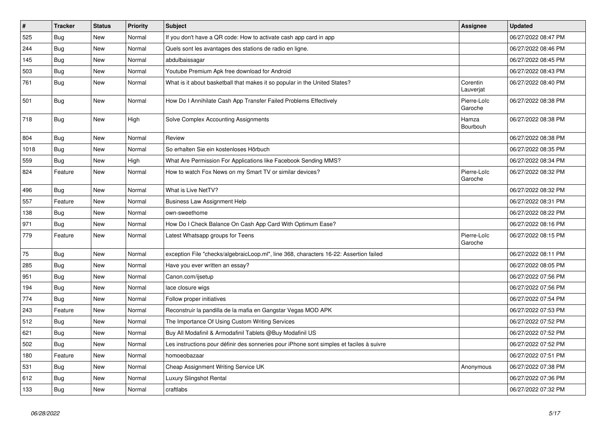| $\vert$ # | <b>Tracker</b> | <b>Status</b> | <b>Priority</b> | <b>Subject</b>                                                                           | Assignee               | <b>Updated</b>      |
|-----------|----------------|---------------|-----------------|------------------------------------------------------------------------------------------|------------------------|---------------------|
| 525       | <b>Bug</b>     | <b>New</b>    | Normal          | If you don't have a QR code: How to activate cash app card in app                        |                        | 06/27/2022 08:47 PM |
| 244       | Bug            | New           | Normal          | Quels sont les avantages des stations de radio en ligne.                                 |                        | 06/27/2022 08:46 PM |
| 145       | Bug            | New           | Normal          | abdulbaissagar                                                                           |                        | 06/27/2022 08:45 PM |
| 503       | Bug            | New           | Normal          | Youtube Premium Apk free download for Android                                            |                        | 06/27/2022 08:43 PM |
| 761       | Bug            | <b>New</b>    | Normal          | What is it about basketball that makes it so popular in the United States?               | Corentin<br>Lauverjat  | 06/27/2022 08:40 PM |
| 501       | Bug            | New           | Normal          | How Do I Annihilate Cash App Transfer Failed Problems Effectively                        | Pierre-Loïc<br>Garoche | 06/27/2022 08:38 PM |
| 718       | <b>Bug</b>     | <b>New</b>    | High            | Solve Complex Accounting Assignments                                                     | Hamza<br>Bourbouh      | 06/27/2022 08:38 PM |
| 804       | <b>Bug</b>     | New           | Normal          | Review                                                                                   |                        | 06/27/2022 08:38 PM |
| 1018      | <b>Bug</b>     | New           | Normal          | So erhalten Sie ein kostenloses Hörbuch                                                  |                        | 06/27/2022 08:35 PM |
| 559       | Bug            | New           | High            | What Are Permission For Applications like Facebook Sending MMS?                          |                        | 06/27/2022 08:34 PM |
| 824       | Feature        | New           | Normal          | How to watch Fox News on my Smart TV or similar devices?                                 | Pierre-Loïc<br>Garoche | 06/27/2022 08:32 PM |
| 496       | Bug            | <b>New</b>    | Normal          | What is Live NetTV?                                                                      |                        | 06/27/2022 08:32 PM |
| 557       | Feature        | New           | Normal          | <b>Business Law Assignment Help</b>                                                      |                        | 06/27/2022 08:31 PM |
| 138       | Bug            | <b>New</b>    | Normal          | own-sweethome                                                                            |                        | 06/27/2022 08:22 PM |
| 971       | Bug            | New           | Normal          | How Do I Check Balance On Cash App Card With Optimum Ease?                               |                        | 06/27/2022 08:16 PM |
| 779       | Feature        | New           | Normal          | Latest Whatsapp groups for Teens                                                         | Pierre-Loïc<br>Garoche | 06/27/2022 08:15 PM |
| 75        | <b>Bug</b>     | <b>New</b>    | Normal          | exception File "checks/algebraicLoop.ml", line 368, characters 16-22: Assertion failed   |                        | 06/27/2022 08:11 PM |
| 285       | <b>Bug</b>     | New           | Normal          | Have you ever written an essay?                                                          |                        | 06/27/2022 08:05 PM |
| 951       | <b>Bug</b>     | New           | Normal          | Canon.com/ijsetup                                                                        |                        | 06/27/2022 07:56 PM |
| 194       | Bug            | New           | Normal          | lace closure wigs                                                                        |                        | 06/27/2022 07:56 PM |
| 774       | Bug            | New           | Normal          | Follow proper initiatives                                                                |                        | 06/27/2022 07:54 PM |
| 243       | Feature        | <b>New</b>    | Normal          | Reconstruir la pandilla de la mafia en Gangstar Vegas MOD APK                            |                        | 06/27/2022 07:53 PM |
| 512       | <b>Bug</b>     | New           | Normal          | The Importance Of Using Custom Writing Services                                          |                        | 06/27/2022 07:52 PM |
| 621       | Bug            | <b>New</b>    | Normal          | Buy All Modafinil & Armodafinil Tablets @Buy Modafinil US                                |                        | 06/27/2022 07:52 PM |
| 502       | <b>Bug</b>     | New           | Normal          | Les instructions pour définir des sonneries pour iPhone sont simples et faciles à suivre |                        | 06/27/2022 07:52 PM |
| 180       | Feature        | New           | Normal          | homoeobazaar                                                                             |                        | 06/27/2022 07:51 PM |
| 531       | <b>Bug</b>     | New           | Normal          | Cheap Assignment Writing Service UK                                                      | Anonymous              | 06/27/2022 07:38 PM |
| 612       | Bug            | <b>New</b>    | Normal          | <b>Luxury Slingshot Rental</b>                                                           |                        | 06/27/2022 07:36 PM |
| 133       | Bug            | New           | Normal          | craftlabs                                                                                |                        | 06/27/2022 07:32 PM |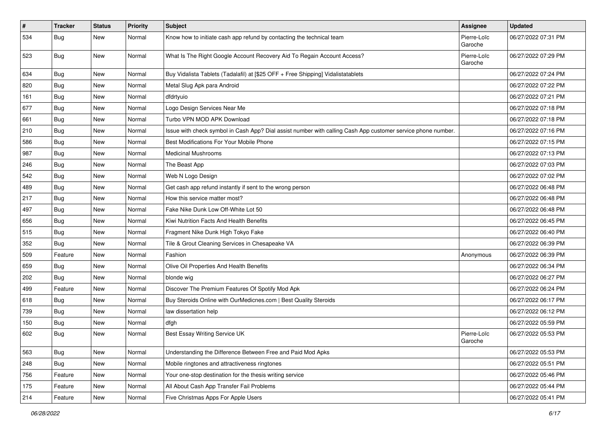| $\vert$ # | <b>Tracker</b> | <b>Status</b> | <b>Priority</b> | Subject                                                                                                      | Assignee               | <b>Updated</b>      |
|-----------|----------------|---------------|-----------------|--------------------------------------------------------------------------------------------------------------|------------------------|---------------------|
| 534       | Bug            | New           | Normal          | Know how to initiate cash app refund by contacting the technical team                                        | Pierre-Loïc<br>Garoche | 06/27/2022 07:31 PM |
| 523       | <b>Bug</b>     | New           | Normal          | What Is The Right Google Account Recovery Aid To Regain Account Access?                                      | Pierre-Loïc<br>Garoche | 06/27/2022 07:29 PM |
| 634       | <b>Bug</b>     | New           | Normal          | Buy Vidalista Tablets (Tadalafil) at [\$25 OFF + Free Shipping] Vidalistatablets                             |                        | 06/27/2022 07:24 PM |
| 820       | Bug            | New           | Normal          | Metal Slug Apk para Android                                                                                  |                        | 06/27/2022 07:22 PM |
| 161       | Bug            | New           | Normal          | dfdrtyuio                                                                                                    |                        | 06/27/2022 07:21 PM |
| 677       | Bug            | New           | Normal          | Logo Design Services Near Me                                                                                 |                        | 06/27/2022 07:18 PM |
| 661       | Bug            | New           | Normal          | Turbo VPN MOD APK Download                                                                                   |                        | 06/27/2022 07:18 PM |
| 210       | <b>Bug</b>     | <b>New</b>    | Normal          | Issue with check symbol in Cash App? Dial assist number with calling Cash App customer service phone number. |                        | 06/27/2022 07:16 PM |
| 586       | Bug            | New           | Normal          | Best Modifications For Your Mobile Phone                                                                     |                        | 06/27/2022 07:15 PM |
| 987       | <b>Bug</b>     | New           | Normal          | <b>Medicinal Mushrooms</b>                                                                                   |                        | 06/27/2022 07:13 PM |
| 246       | Bug            | New           | Normal          | The Beast App                                                                                                |                        | 06/27/2022 07:03 PM |
| 542       | <b>Bug</b>     | New           | Normal          | Web N Logo Design                                                                                            |                        | 06/27/2022 07:02 PM |
| 489       | <b>Bug</b>     | New           | Normal          | Get cash app refund instantly if sent to the wrong person                                                    |                        | 06/27/2022 06:48 PM |
| 217       | <b>Bug</b>     | New           | Normal          | How this service matter most?                                                                                |                        | 06/27/2022 06:48 PM |
| 497       | <b>Bug</b>     | New           | Normal          | Fake Nike Dunk Low Off-White Lot 50                                                                          |                        | 06/27/2022 06:48 PM |
| 656       | <b>Bug</b>     | New           | Normal          | Kiwi Nutrition Facts And Health Benefits                                                                     |                        | 06/27/2022 06:45 PM |
| 515       | <b>Bug</b>     | New           | Normal          | Fragment Nike Dunk High Tokyo Fake                                                                           |                        | 06/27/2022 06:40 PM |
| 352       | <b>Bug</b>     | New           | Normal          | Tile & Grout Cleaning Services in Chesapeake VA                                                              |                        | 06/27/2022 06:39 PM |
| 509       | Feature        | New           | Normal          | Fashion                                                                                                      | Anonymous              | 06/27/2022 06:39 PM |
| 659       | <b>Bug</b>     | New           | Normal          | Olive Oil Properties And Health Benefits                                                                     |                        | 06/27/2022 06:34 PM |
| 202       | <b>Bug</b>     | New           | Normal          | blonde wig                                                                                                   |                        | 06/27/2022 06:27 PM |
| 499       | Feature        | New           | Normal          | Discover The Premium Features Of Spotify Mod Apk                                                             |                        | 06/27/2022 06:24 PM |
| 618       | <b>Bug</b>     | New           | Normal          | Buy Steroids Online with OurMedicnes.com   Best Quality Steroids                                             |                        | 06/27/2022 06:17 PM |
| 739       | Bug            | New           | Normal          | law dissertation help                                                                                        |                        | 06/27/2022 06:12 PM |
| 150       | <b>Bug</b>     | New           | Normal          | dfgh                                                                                                         |                        | 06/27/2022 05:59 PM |
| 602       | <b>Bug</b>     | New           | Normal          | Best Essay Writing Service UK                                                                                | Pierre-Loïc<br>Garoche | 06/27/2022 05:53 PM |
| 563       | <b>Bug</b>     | New           | Normal          | Understanding the Difference Between Free and Paid Mod Apks                                                  |                        | 06/27/2022 05:53 PM |
| 248       | Bug            | New           | Normal          | Mobile ringtones and attractiveness ringtones                                                                |                        | 06/27/2022 05:51 PM |
| 756       | Feature        | New           | Normal          | Your one-stop destination for the thesis writing service                                                     |                        | 06/27/2022 05:46 PM |
| 175       | Feature        | New           | Normal          | All About Cash App Transfer Fail Problems                                                                    |                        | 06/27/2022 05:44 PM |
| 214       | Feature        | New           | Normal          | Five Christmas Apps For Apple Users                                                                          |                        | 06/27/2022 05:41 PM |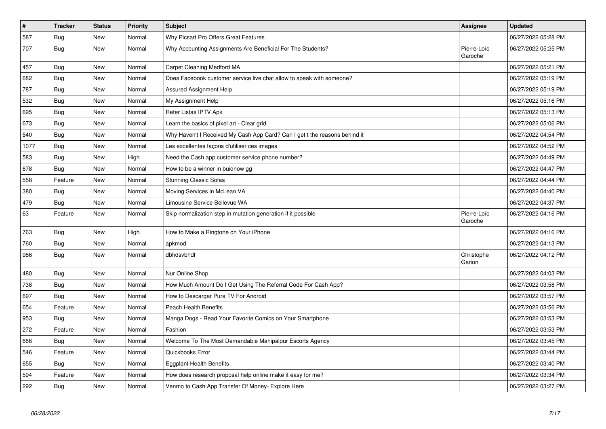| $\vert$ # | <b>Tracker</b> | <b>Status</b> | <b>Priority</b> | <b>Subject</b>                                                             | <b>Assignee</b>        | <b>Updated</b>      |
|-----------|----------------|---------------|-----------------|----------------------------------------------------------------------------|------------------------|---------------------|
| 587       | Bug            | New           | Normal          | Why Picsart Pro Offers Great Features                                      |                        | 06/27/2022 05:28 PM |
| 707       | <b>Bug</b>     | New           | Normal          | Why Accounting Assignments Are Beneficial For The Students?                | Pierre-Loïc<br>Garoche | 06/27/2022 05:25 PM |
| 457       | Bug            | New           | Normal          | Carpet Cleaning Medford MA                                                 |                        | 06/27/2022 05:21 PM |
| 682       | <b>Bug</b>     | <b>New</b>    | Normal          | Does Facebook customer service live chat allow to speak with someone?      |                        | 06/27/2022 05:19 PM |
| 787       | Bug            | New           | Normal          | Assured Assignment Help                                                    |                        | 06/27/2022 05:19 PM |
| 532       | Bug            | New           | Normal          | My Assignment Help                                                         |                        | 06/27/2022 05:16 PM |
| 695       | Bug            | New           | Normal          | Refer Listas IPTV Apk                                                      |                        | 06/27/2022 05:13 PM |
| 673       | <b>Bug</b>     | New           | Normal          | Learn the basics of pixel art - Clear grid                                 |                        | 06/27/2022 05:06 PM |
| 540       | <b>Bug</b>     | New           | Normal          | Why Haven't I Received My Cash App Card? Can I get t the reasons behind it |                        | 06/27/2022 04:54 PM |
| 1077      | Bug            | New           | Normal          | Les excellentes façons d'utiliser ces images                               |                        | 06/27/2022 04:52 PM |
| 583       | <b>Bug</b>     | New           | High            | Need the Cash app customer service phone number?                           |                        | 06/27/2022 04:49 PM |
| 678       | Bug            | New           | Normal          | How to be a winner in buidnow gg                                           |                        | 06/27/2022 04:47 PM |
| 558       | Feature        | New           | Normal          | Stunning Classic Sofas                                                     |                        | 06/27/2022 04:44 PM |
| 380       | Bug            | New           | Normal          | Moving Services in McLean VA                                               |                        | 06/27/2022 04:40 PM |
| 479       | Bug            | New           | Normal          | Limousine Service Bellevue WA                                              |                        | 06/27/2022 04:37 PM |
| 63        | Feature        | New           | Normal          | Skip normalization step in mutation generation if it possible              | Pierre-Loïc<br>Garoche | 06/27/2022 04:16 PM |
| 763       | Bug            | New           | High            | How to Make a Ringtone on Your iPhone                                      |                        | 06/27/2022 04:16 PM |
| 760       | Bug            | New           | Normal          | apkmod                                                                     |                        | 06/27/2022 04:13 PM |
| 986       | <b>Bug</b>     | New           | Normal          | dbhdsvbhdf                                                                 | Christophe<br>Garion   | 06/27/2022 04:12 PM |
| 480       | <b>Bug</b>     | New           | Normal          | Nur Online Shop                                                            |                        | 06/27/2022 04:03 PM |
| 738       | Bug            | New           | Normal          | How Much Amount Do I Get Using The Referral Code For Cash App?             |                        | 06/27/2022 03:58 PM |
| 697       | Bug            | New           | Normal          | How to Descargar Pura TV For Android                                       |                        | 06/27/2022 03:57 PM |
| 654       | Feature        | New           | Normal          | Peach Health Benefits                                                      |                        | 06/27/2022 03:56 PM |
| 953       | <b>Bug</b>     | New           | Normal          | Manga Dogs - Read Your Favorite Comics on Your Smartphone                  |                        | 06/27/2022 03:53 PM |
| 272       | Feature        | New           | Normal          | Fashion                                                                    |                        | 06/27/2022 03:53 PM |
| 686       | Bug            | New           | Normal          | Welcome To The Most Demandable Mahipalpur Escorts Agency                   |                        | 06/27/2022 03:45 PM |
| 546       | Feature        | New           | Normal          | Quickbooks Error                                                           |                        | 06/27/2022 03:44 PM |
| 655       | <b>Bug</b>     | New           | Normal          | Eggplant Health Benefits                                                   |                        | 06/27/2022 03:40 PM |
| 594       | Feature        | New           | Normal          | How does research proposal help online make it easy for me?                |                        | 06/27/2022 03:34 PM |
| 292       | <b>Bug</b>     | <b>New</b>    | Normal          | Venmo to Cash App Transfer Of Money- Explore Here                          |                        | 06/27/2022 03:27 PM |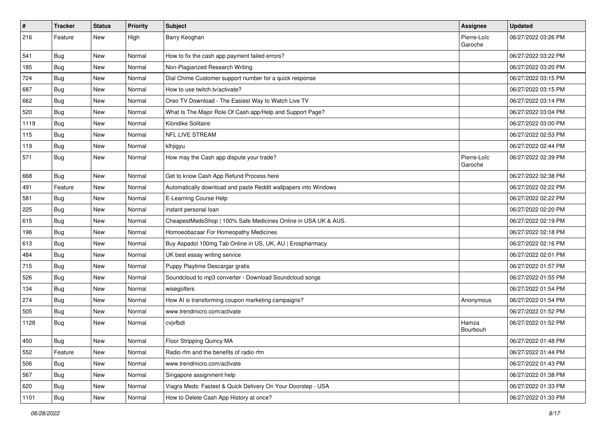| $\vert$ # | <b>Tracker</b> | <b>Status</b> | <b>Priority</b> | Subject                                                         | <b>Assignee</b>        | <b>Updated</b>      |
|-----------|----------------|---------------|-----------------|-----------------------------------------------------------------|------------------------|---------------------|
| 216       | Feature        | New           | High            | Barry Keoghan                                                   | Pierre-Loïc<br>Garoche | 06/27/2022 03:26 PM |
| 541       | Bug            | New           | Normal          | How to fix the cash app payment failed errors?                  |                        | 06/27/2022 03:22 PM |
| 185       | <b>Bug</b>     | New           | Normal          | Non-Plagiarized Research Writing                                |                        | 06/27/2022 03:20 PM |
| 724       | Bug            | New           | Normal          | Dial Chime Customer support number for a quick response         |                        | 06/27/2022 03:15 PM |
| 687       | <b>Bug</b>     | New           | Normal          | How to use twitch.tv/activate?                                  |                        | 06/27/2022 03:15 PM |
| 662       | <b>Bug</b>     | New           | Normal          | Oreo TV Download - The Easiest Way to Watch Live TV             |                        | 06/27/2022 03:14 PM |
| 520       | <b>Bug</b>     | New           | Normal          | What Is The Major Role Of Cash.app/Help and Support Page?       |                        | 06/27/2022 03:04 PM |
| 1119      | <b>Bug</b>     | New           | Normal          | Klondike Solitaire                                              |                        | 06/27/2022 03:00 PM |
| 115       | <b>Bug</b>     | New           | Normal          | NFL LIVE STREAM                                                 |                        | 06/27/2022 02:53 PM |
| 119       | <b>Bug</b>     | New           | Normal          | klhjigyu                                                        |                        | 06/27/2022 02:44 PM |
| 571       | <b>Bug</b>     | New           | Normal          | How may the Cash app dispute your trade?                        | Pierre-Loïc<br>Garoche | 06/27/2022 02:39 PM |
| 668       | Bug            | New           | Normal          | Get to know Cash App Refund Process here                        |                        | 06/27/2022 02:38 PM |
| 491       | Feature        | New           | Normal          | Automatically download and paste Reddit wallpapers into Windows |                        | 06/27/2022 02:22 PM |
| 581       | <b>Bug</b>     | New           | Normal          | E-Learning Course Help                                          |                        | 06/27/2022 02:22 PM |
| 225       | Bug            | New           | Normal          | instant personal loan                                           |                        | 06/27/2022 02:20 PM |
| 615       | Bug            | New           | Normal          | CheapestMedsShop   100% Safe Medicines Online in USA UK & AUS.  |                        | 06/27/2022 02:19 PM |
| 196       | <b>Bug</b>     | New           | Normal          | Homoeobazaar For Homeopathy Medicines                           |                        | 06/27/2022 02:18 PM |
| 613       | Bug            | New           | Normal          | Buy Aspadol 100mg Tab Online in US, UK, AU   Erospharmacy       |                        | 06/27/2022 02:16 PM |
| 484       | Bug            | New           | Normal          | UK best essay writing service                                   |                        | 06/27/2022 02:01 PM |
| 715       | <b>Bug</b>     | New           | Normal          | Puppy Playtime Descargar gratis                                 |                        | 06/27/2022 01:57 PM |
| 526       | <b>Bug</b>     | New           | Normal          | Soundcloud to mp3 converter - Download Soundcloud songs         |                        | 06/27/2022 01:55 PM |
| 134       | <b>Bug</b>     | New           | Normal          | wisegolfers                                                     |                        | 06/27/2022 01:54 PM |
| 274       | <b>Bug</b>     | New           | Normal          | How AI is transforming coupon marketing campaigns?              | Anonymous              | 06/27/2022 01:54 PM |
| 505       | <b>Bug</b>     | New           | Normal          | www.trendmicro.com/activate                                     |                        | 06/27/2022 01:52 PM |
| 1128      | Bug            | New           | Normal          | cvjvfbdi                                                        | Hamza<br>Bourbouh      | 06/27/2022 01:52 PM |
| 450       | Bug            | New           | Normal          | Floor Stripping Quincy MA                                       |                        | 06/27/2022 01:48 PM |
| 552       | Feature        | New           | Normal          | Radio rfm and the benefits of radio rfm                         |                        | 06/27/2022 01:44 PM |
| 506       | Bug            | New           | Normal          | www.trendmicro.com/activate                                     |                        | 06/27/2022 01:43 PM |
| 567       | Bug            | New           | Normal          | Singapore assignment help                                       |                        | 06/27/2022 01:38 PM |
| 620       | <b>Bug</b>     | New           | Normal          | Viagra Meds: Fastest & Quick Delivery On Your Doorstep - USA    |                        | 06/27/2022 01:33 PM |
| 1101      | <b>Bug</b>     | New           | Normal          | How to Delete Cash App History at once?                         |                        | 06/27/2022 01:33 PM |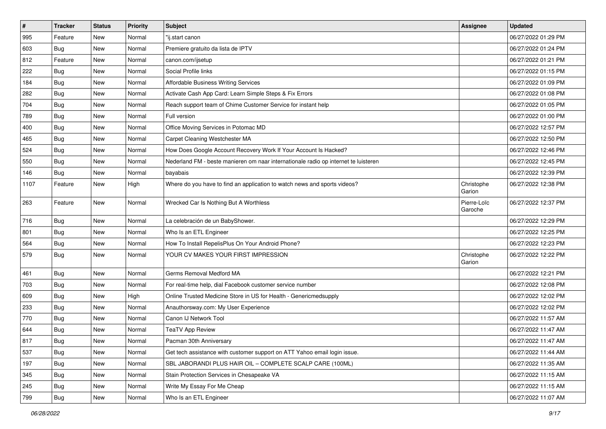| $\sharp$ | <b>Tracker</b> | <b>Status</b> | <b>Priority</b> | Subject                                                                             | <b>Assignee</b>        | <b>Updated</b>      |
|----------|----------------|---------------|-----------------|-------------------------------------------------------------------------------------|------------------------|---------------------|
| 995      | Feature        | New           | Normal          | "ij.start canon                                                                     |                        | 06/27/2022 01:29 PM |
| 603      | Bug            | New           | Normal          | Premiere gratuito da lista de IPTV                                                  |                        | 06/27/2022 01:24 PM |
| 812      | Feature        | New           | Normal          | canon.com/ijsetup                                                                   |                        | 06/27/2022 01:21 PM |
| 222      | <b>Bug</b>     | New           | Normal          | Social Profile links                                                                |                        | 06/27/2022 01:15 PM |
| 184      | Bug            | <b>New</b>    | Normal          | Affordable Business Writing Services                                                |                        | 06/27/2022 01:09 PM |
| 282      | Bug            | New           | Normal          | Activate Cash App Card: Learn Simple Steps & Fix Errors                             |                        | 06/27/2022 01:08 PM |
| 704      | Bug            | New           | Normal          | Reach support team of Chime Customer Service for instant help                       |                        | 06/27/2022 01:05 PM |
| 789      | <b>Bug</b>     | New           | Normal          | Full version                                                                        |                        | 06/27/2022 01:00 PM |
| 400      | Bug            | New           | Normal          | Office Moving Services in Potomac MD                                                |                        | 06/27/2022 12:57 PM |
| 465      | Bug            | <b>New</b>    | Normal          | Carpet Cleaning Westchester MA                                                      |                        | 06/27/2022 12:50 PM |
| 524      | <b>Bug</b>     | New           | Normal          | How Does Google Account Recovery Work If Your Account Is Hacked?                    |                        | 06/27/2022 12:46 PM |
| 550      | Bug            | New           | Normal          | Nederland FM - beste manieren om naar internationale radio op internet te luisteren |                        | 06/27/2022 12:45 PM |
| 146      | <b>Bug</b>     | New           | Normal          | bayabais                                                                            |                        | 06/27/2022 12:39 PM |
| 1107     | Feature        | New           | High            | Where do you have to find an application to watch news and sports videos?           | Christophe<br>Garion   | 06/27/2022 12:38 PM |
| 263      | Feature        | New           | Normal          | Wrecked Car Is Nothing But A Worthless                                              | Pierre-Loïc<br>Garoche | 06/27/2022 12:37 PM |
| 716      | Bug            | New           | Normal          | La celebración de un BabyShower.                                                    |                        | 06/27/2022 12:29 PM |
| 801      | Bug            | New           | Normal          | Who Is an ETL Engineer                                                              |                        | 06/27/2022 12:25 PM |
| 564      | <b>Bug</b>     | New           | Normal          | How To Install RepelisPlus On Your Android Phone?                                   |                        | 06/27/2022 12:23 PM |
| 579      | <b>Bug</b>     | New           | Normal          | YOUR CV MAKES YOUR FIRST IMPRESSION                                                 | Christophe<br>Garion   | 06/27/2022 12:22 PM |
| 461      | Bug            | <b>New</b>    | Normal          | Germs Removal Medford MA                                                            |                        | 06/27/2022 12:21 PM |
| 703      | Bug            | New           | Normal          | For real-time help, dial Facebook customer service number                           |                        | 06/27/2022 12:08 PM |
| 609      | <b>Bug</b>     | New           | High            | Online Trusted Medicine Store in US for Health - Genericmedsupply                   |                        | 06/27/2022 12:02 PM |
| 233      | Bug            | <b>New</b>    | Normal          | Anauthorsway.com: My User Experience                                                |                        | 06/27/2022 12:02 PM |
| 770      | Bug            | New           | Normal          | Canon IJ Network Tool                                                               |                        | 06/27/2022 11:57 AM |
| 644      | <b>Bug</b>     | New           | Normal          | <b>TeaTV App Review</b>                                                             |                        | 06/27/2022 11:47 AM |
| 817      | Bug            | New           | Normal          | Pacman 30th Anniversary                                                             |                        | 06/27/2022 11:47 AM |
| 537      | <b>Bug</b>     | New           | Normal          | Get tech assistance with customer support on ATT Yahoo email login issue.           |                        | 06/27/2022 11:44 AM |
| 197      | <b>Bug</b>     | New           | Normal          | SBL JABORANDI PLUS HAIR OIL - COMPLETE SCALP CARE (100ML)                           |                        | 06/27/2022 11:35 AM |
| 345      | <b>Bug</b>     | New           | Normal          | Stain Protection Services in Chesapeake VA                                          |                        | 06/27/2022 11:15 AM |
| 245      | Bug            | New           | Normal          | Write My Essay For Me Cheap                                                         |                        | 06/27/2022 11:15 AM |
| 799      | <b>Bug</b>     | New           | Normal          | Who Is an ETL Engineer                                                              |                        | 06/27/2022 11:07 AM |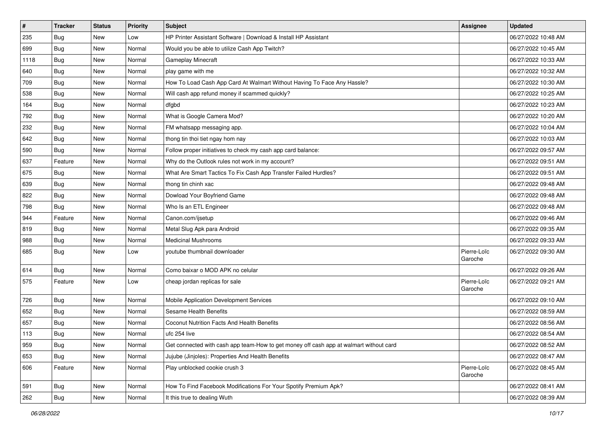| $\vert$ # | <b>Tracker</b> | <b>Status</b> | <b>Priority</b> | Subject                                                                                | Assignee               | <b>Updated</b>      |
|-----------|----------------|---------------|-----------------|----------------------------------------------------------------------------------------|------------------------|---------------------|
| 235       | <b>Bug</b>     | New           | Low             | HP Printer Assistant Software   Download & Install HP Assistant                        |                        | 06/27/2022 10:48 AM |
| 699       | <b>Bug</b>     | New           | Normal          | Would you be able to utilize Cash App Twitch?                                          |                        | 06/27/2022 10:45 AM |
| 1118      | Bug            | New           | Normal          | Gameplay Minecraft                                                                     |                        | 06/27/2022 10:33 AM |
| 640       | <b>Bug</b>     | New           | Normal          | play game with me                                                                      |                        | 06/27/2022 10:32 AM |
| 709       | Bug            | New           | Normal          | How To Load Cash App Card At Walmart Without Having To Face Any Hassle?                |                        | 06/27/2022 10:30 AM |
| 538       | <b>Bug</b>     | New           | Normal          | Will cash app refund money if scammed quickly?                                         |                        | 06/27/2022 10:25 AM |
| 164       | Bug            | New           | Normal          | dfgbd                                                                                  |                        | 06/27/2022 10:23 AM |
| 792       | <b>Bug</b>     | New           | Normal          | What is Google Camera Mod?                                                             |                        | 06/27/2022 10:20 AM |
| 232       | <b>Bug</b>     | New           | Normal          | FM whatsapp messaging app.                                                             |                        | 06/27/2022 10:04 AM |
| 642       | <b>Bug</b>     | New           | Normal          | thong tin thoi tiet ngay hom nay                                                       |                        | 06/27/2022 10:03 AM |
| 590       | <b>Bug</b>     | New           | Normal          | Follow proper initiatives to check my cash app card balance:                           |                        | 06/27/2022 09:57 AM |
| 637       | Feature        | New           | Normal          | Why do the Outlook rules not work in my account?                                       |                        | 06/27/2022 09:51 AM |
| 675       | Bug            | New           | Normal          | What Are Smart Tactics To Fix Cash App Transfer Failed Hurdles?                        |                        | 06/27/2022 09:51 AM |
| 639       | Bug            | New           | Normal          | thong tin chinh xac                                                                    |                        | 06/27/2022 09:48 AM |
| 822       | Bug            | New           | Normal          | Dowload Your Boyfriend Game                                                            |                        | 06/27/2022 09:48 AM |
| 798       | <b>Bug</b>     | New           | Normal          | Who Is an ETL Engineer                                                                 |                        | 06/27/2022 09:48 AM |
| 944       | Feature        | New           | Normal          | Canon.com/ijsetup                                                                      |                        | 06/27/2022 09:46 AM |
| 819       | Bug            | New           | Normal          | Metal Slug Apk para Android                                                            |                        | 06/27/2022 09:35 AM |
| 988       | Bug            | New           | Normal          | <b>Medicinal Mushrooms</b>                                                             |                        | 06/27/2022 09:33 AM |
| 685       | <b>Bug</b>     | New           | Low             | youtube thumbnail downloader                                                           | Pierre-Loïc<br>Garoche | 06/27/2022 09:30 AM |
| 614       | <b>Bug</b>     | New           | Normal          | Como baixar o MOD APK no celular                                                       |                        | 06/27/2022 09:26 AM |
| 575       | Feature        | New           | Low             | cheap jordan replicas for sale                                                         | Pierre-Loïc<br>Garoche | 06/27/2022 09:21 AM |
| 726       | <b>Bug</b>     | New           | Normal          | Mobile Application Development Services                                                |                        | 06/27/2022 09:10 AM |
| 652       | Bug            | New           | Normal          | <b>Sesame Health Benefits</b>                                                          |                        | 06/27/2022 08:59 AM |
| 657       | <b>Bug</b>     | New           | Normal          | <b>Coconut Nutrition Facts And Health Benefits</b>                                     |                        | 06/27/2022 08:56 AM |
| 113       | Bug            | New           | Normal          | ufc 254 live                                                                           |                        | 06/27/2022 08:54 AM |
| 959       | Bug            | New           | Normal          | Get connected with cash app team-How to get money off cash app at walmart without card |                        | 06/27/2022 08:52 AM |
| 653       | Bug            | New           | Normal          | Jujube (Jinjoles): Properties And Health Benefits                                      |                        | 06/27/2022 08:47 AM |
| 606       | Feature        | New           | Normal          | Play unblocked cookie crush 3                                                          | Pierre-Loïc<br>Garoche | 06/27/2022 08:45 AM |
| 591       | Bug            | New           | Normal          | How To Find Facebook Modifications For Your Spotify Premium Apk?                       |                        | 06/27/2022 08:41 AM |
| 262       | Bug            | New           | Normal          | It this true to dealing Wuth                                                           |                        | 06/27/2022 08:39 AM |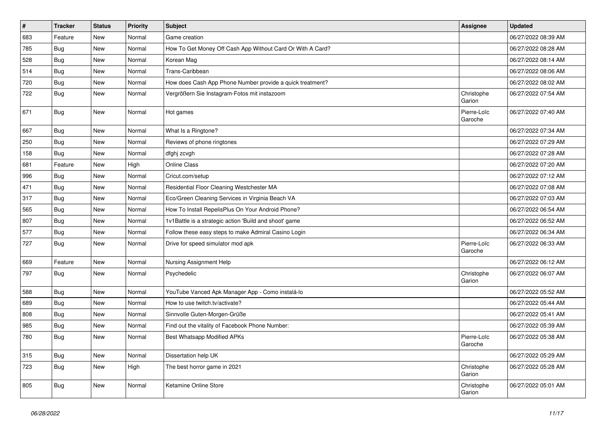| $\sharp$ | <b>Tracker</b> | <b>Status</b> | <b>Priority</b> | <b>Subject</b>                                             | <b>Assignee</b>        | <b>Updated</b>      |
|----------|----------------|---------------|-----------------|------------------------------------------------------------|------------------------|---------------------|
| 683      | Feature        | New           | Normal          | Game creation                                              |                        | 06/27/2022 08:39 AM |
| 785      | <b>Bug</b>     | <b>New</b>    | Normal          | How To Get Money Off Cash App Without Card Or With A Card? |                        | 06/27/2022 08:28 AM |
| 528      | Bug            | <b>New</b>    | Normal          | Korean Mag                                                 |                        | 06/27/2022 08:14 AM |
| 514      | <b>Bug</b>     | New           | Normal          | Trans-Caribbean                                            |                        | 06/27/2022 08:06 AM |
| 720      | Bug            | <b>New</b>    | Normal          | How does Cash App Phone Number provide a quick treatment?  |                        | 06/27/2022 08:02 AM |
| 722      | Bug            | New           | Normal          | Vergrößern Sie Instagram-Fotos mit instazoom               | Christophe<br>Garion   | 06/27/2022 07:54 AM |
| 671      | Bug            | New           | Normal          | Hot games                                                  | Pierre-Loïc<br>Garoche | 06/27/2022 07:40 AM |
| 667      | Bug            | New           | Normal          | What Is a Ringtone?                                        |                        | 06/27/2022 07:34 AM |
| 250      | <b>Bug</b>     | New           | Normal          | Reviews of phone ringtones                                 |                        | 06/27/2022 07:29 AM |
| 158      | <b>Bug</b>     | <b>New</b>    | Normal          | dfghj zcvgh                                                |                        | 06/27/2022 07:28 AM |
| 681      | Feature        | New           | High            | <b>Online Class</b>                                        |                        | 06/27/2022 07:20 AM |
| 996      | Bug            | New           | Normal          | Cricut.com/setup                                           |                        | 06/27/2022 07:12 AM |
| 471      | Bug            | New           | Normal          | Residential Floor Cleaning Westchester MA                  |                        | 06/27/2022 07:08 AM |
| 317      | Bug            | <b>New</b>    | Normal          | Eco/Green Cleaning Services in Virginia Beach VA           |                        | 06/27/2022 07:03 AM |
| 565      | Bug            | New           | Normal          | How To Install RepelisPlus On Your Android Phone?          |                        | 06/27/2022 06:54 AM |
| 807      | Bug            | New           | Normal          | 1v1Battle is a strategic action 'Build and shoot' game     |                        | 06/27/2022 06:52 AM |
| 577      | <b>Bug</b>     | New           | Normal          | Follow these easy steps to make Admiral Casino Login       |                        | 06/27/2022 06:34 AM |
| 727      | <b>Bug</b>     | New           | Normal          | Drive for speed simulator mod apk                          | Pierre-Loïc<br>Garoche | 06/27/2022 06:33 AM |
| 669      | Feature        | New           | Normal          | Nursing Assignment Help                                    |                        | 06/27/2022 06:12 AM |
| 797      | <b>Bug</b>     | New           | Normal          | Psychedelic                                                | Christophe<br>Garion   | 06/27/2022 06:07 AM |
| 588      | Bug            | New           | Normal          | YouTube Vanced Apk Manager App - Como instalá-lo           |                        | 06/27/2022 05:52 AM |
| 689      | Bug            | New           | Normal          | How to use twitch.tv/activate?                             |                        | 06/27/2022 05:44 AM |
| 808      | Bug            | New           | Normal          | Sinnvolle Guten-Morgen-Grüße                               |                        | 06/27/2022 05:41 AM |
| 985      | Bug            | New           | Normal          | Find out the vitality of Facebook Phone Number:            |                        | 06/27/2022 05:39 AM |
| 780      | Bug            | New           | Normal          | Best Whatsapp Modified APKs                                | Pierre-Loïc<br>Garoche | 06/27/2022 05:38 AM |
| 315      | <b>Bug</b>     | <b>New</b>    | Normal          | Dissertation help UK                                       |                        | 06/27/2022 05:29 AM |
| 723      | Bug            | New           | High            | The best horror game in 2021                               | Christophe<br>Garion   | 06/27/2022 05:28 AM |
| 805      | Bug            | New           | Normal          | Ketamine Online Store                                      | Christophe<br>Garion   | 06/27/2022 05:01 AM |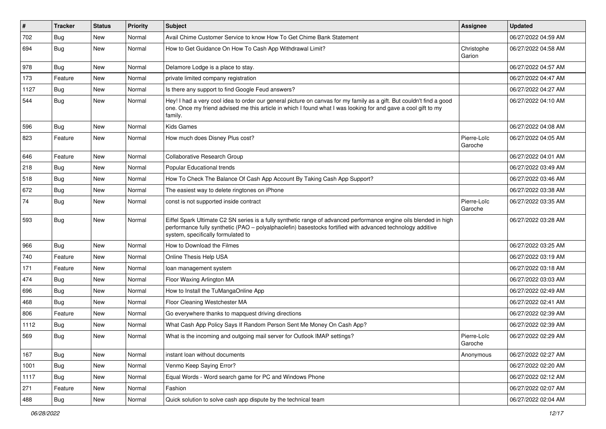| $\vert$ # | <b>Tracker</b> | <b>Status</b> | <b>Priority</b> | <b>Subject</b>                                                                                                                                                                                                                                                        | <b>Assignee</b>        | <b>Updated</b>      |
|-----------|----------------|---------------|-----------------|-----------------------------------------------------------------------------------------------------------------------------------------------------------------------------------------------------------------------------------------------------------------------|------------------------|---------------------|
| 702       | <b>Bug</b>     | New           | Normal          | Avail Chime Customer Service to know How To Get Chime Bank Statement                                                                                                                                                                                                  |                        | 06/27/2022 04:59 AM |
| 694       | <b>Bug</b>     | <b>New</b>    | Normal          | How to Get Guidance On How To Cash App Withdrawal Limit?                                                                                                                                                                                                              | Christophe<br>Garion   | 06/27/2022 04:58 AM |
| 978       | Bug            | <b>New</b>    | Normal          | Delamore Lodge is a place to stay.                                                                                                                                                                                                                                    |                        | 06/27/2022 04:57 AM |
| 173       | Feature        | <b>New</b>    | Normal          | private limited company registration                                                                                                                                                                                                                                  |                        | 06/27/2022 04:47 AM |
| 1127      | <b>Bug</b>     | New           | Normal          | Is there any support to find Google Feud answers?                                                                                                                                                                                                                     |                        | 06/27/2022 04:27 AM |
| 544       | <b>Bug</b>     | New           | Normal          | Hey! I had a very cool idea to order our general picture on canvas for my family as a gift. But couldn't find a good<br>one. Once my friend advised me this article in which I found what I was looking for and gave a cool gift to my<br>family.                     |                        | 06/27/2022 04:10 AM |
| 596       | Bug            | New           | Normal          | <b>Kids Games</b>                                                                                                                                                                                                                                                     |                        | 06/27/2022 04:08 AM |
| 823       | Feature        | New           | Normal          | How much does Disney Plus cost?                                                                                                                                                                                                                                       | Pierre-Loïc<br>Garoche | 06/27/2022 04:05 AM |
| 646       | Feature        | <b>New</b>    | Normal          | Collaborative Research Group                                                                                                                                                                                                                                          |                        | 06/27/2022 04:01 AM |
| 218       | Bug            | New           | Normal          | Popular Educational trends                                                                                                                                                                                                                                            |                        | 06/27/2022 03:49 AM |
| 518       | Bug            | New           | Normal          | How To Check The Balance Of Cash App Account By Taking Cash App Support?                                                                                                                                                                                              |                        | 06/27/2022 03:46 AM |
| 672       | Bug            | New           | Normal          | The easiest way to delete ringtones on iPhone                                                                                                                                                                                                                         |                        | 06/27/2022 03:38 AM |
| 74        | <b>Bug</b>     | New           | Normal          | const is not supported inside contract                                                                                                                                                                                                                                | Pierre-Loïc<br>Garoche | 06/27/2022 03:35 AM |
| 593       | Bug            | <b>New</b>    | Normal          | Eiffel Spark Ultimate C2 SN series is a fully synthetic range of advanced performance engine oils blended in high<br>performance fully synthetic (PAO - polyalphaolefin) basestocks fortified with advanced technology additive<br>system, specifically formulated to |                        | 06/27/2022 03:28 AM |
| 966       | Bug            | New           | Normal          | How to Download the Filmes                                                                                                                                                                                                                                            |                        | 06/27/2022 03:25 AM |
| 740       | Feature        | <b>New</b>    | Normal          | Online Thesis Help USA                                                                                                                                                                                                                                                |                        | 06/27/2022 03:19 AM |
| 171       | Feature        | New           | Normal          | loan management system                                                                                                                                                                                                                                                |                        | 06/27/2022 03:18 AM |
| 474       | <b>Bug</b>     | New           | Normal          | Floor Waxing Arlington MA                                                                                                                                                                                                                                             |                        | 06/27/2022 03:03 AM |
| 696       | Bug            | New           | Normal          | How to Install the TuMangaOnline App                                                                                                                                                                                                                                  |                        | 06/27/2022 02:49 AM |
| 468       | Bug            | New           | Normal          | Floor Cleaning Westchester MA                                                                                                                                                                                                                                         |                        | 06/27/2022 02:41 AM |
| 806       | Feature        | New           | Normal          | Go everywhere thanks to mapquest driving directions                                                                                                                                                                                                                   |                        | 06/27/2022 02:39 AM |
| 1112      | <b>Bug</b>     | <b>New</b>    | Normal          | What Cash App Policy Says If Random Person Sent Me Money On Cash App?                                                                                                                                                                                                 |                        | 06/27/2022 02:39 AM |
| 569       | <b>Bug</b>     | New           | Normal          | What is the incoming and outgoing mail server for Outlook IMAP settings?                                                                                                                                                                                              | Pierre-Loïc<br>Garoche | 06/27/2022 02:29 AM |
| 167       | Bug            | New           | Normal          | instant loan without documents                                                                                                                                                                                                                                        | Anonymous              | 06/27/2022 02:27 AM |
| 1001      | Bug            | New           | Normal          | Venmo Keep Saying Error?                                                                                                                                                                                                                                              |                        | 06/27/2022 02:20 AM |
| 1117      | <b>Bug</b>     | New           | Normal          | Equal Words - Word search game for PC and Windows Phone                                                                                                                                                                                                               |                        | 06/27/2022 02:12 AM |
| 271       | Feature        | New           | Normal          | Fashion                                                                                                                                                                                                                                                               |                        | 06/27/2022 02:07 AM |
| 488       | <b>Bug</b>     | New           | Normal          | Quick solution to solve cash app dispute by the technical team                                                                                                                                                                                                        |                        | 06/27/2022 02:04 AM |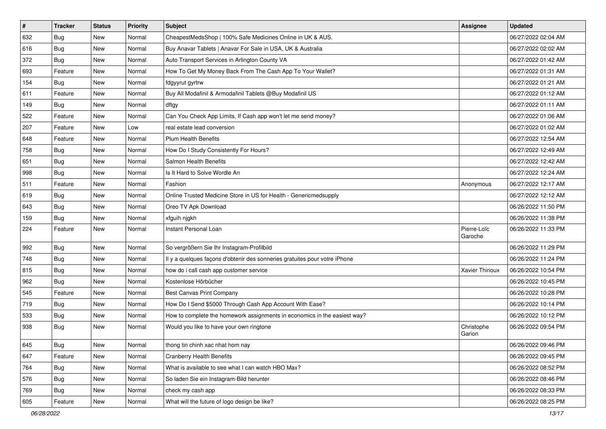| $\sharp$ | <b>Tracker</b> | <b>Status</b> | <b>Priority</b> | Subject                                                                    | <b>Assignee</b>        | <b>Updated</b>      |
|----------|----------------|---------------|-----------------|----------------------------------------------------------------------------|------------------------|---------------------|
| 632      | <b>Bug</b>     | New           | Normal          | CheapestMedsShop   100% Safe Medicines Online in UK & AUS.                 |                        | 06/27/2022 02:04 AM |
| 616      | Bug            | New           | Normal          | Buy Anavar Tablets   Anavar For Sale in USA, UK & Australia                |                        | 06/27/2022 02:02 AM |
| 372      | Bug            | New           | Normal          | Auto Transport Services in Arlington County VA                             |                        | 06/27/2022 01:42 AM |
| 693      | Feature        | <b>New</b>    | Normal          | How To Get My Money Back From The Cash App To Your Wallet?                 |                        | 06/27/2022 01:31 AM |
| 154      | <b>Bug</b>     | New           | Normal          | fdgyyrut gyrtrw                                                            |                        | 06/27/2022 01:21 AM |
| 611      | Feature        | <b>New</b>    | Normal          | Buy All Modafinil & Armodafinil Tablets @Buy Modafinil US                  |                        | 06/27/2022 01:12 AM |
| 149      | Bug            | New           | Normal          | dftgy                                                                      |                        | 06/27/2022 01:11 AM |
| 522      | Feature        | New           | Normal          | Can You Check App Limits, If Cash app won't let me send money?             |                        | 06/27/2022 01:06 AM |
| 207      | Feature        | New           | Low             | real estate lead conversion                                                |                        | 06/27/2022 01:02 AM |
| 648      | Feature        | New           | Normal          | <b>Plum Health Benefits</b>                                                |                        | 06/27/2022 12:54 AM |
| 758      | <b>Bug</b>     | New           | Normal          | How Do I Study Consistently For Hours?                                     |                        | 06/27/2022 12:49 AM |
| 651      | Bug            | New           | Normal          | Salmon Health Benefits                                                     |                        | 06/27/2022 12:42 AM |
| 998      | Bug            | New           | Normal          | Is It Hard to Solve Wordle An                                              |                        | 06/27/2022 12:24 AM |
| 511      | Feature        | New           | Normal          | Fashion                                                                    | Anonymous              | 06/27/2022 12:17 AM |
| 619      | Bug            | <b>New</b>    | Normal          | Online Trusted Medicine Store in US for Health - Genericmedsupply          |                        | 06/27/2022 12:12 AM |
| 643      | Bug            | New           | Normal          | Oreo TV Apk Download                                                       |                        | 06/26/2022 11:50 PM |
| 159      | <b>Bug</b>     | <b>New</b>    | Normal          | xfguih njgkh                                                               |                        | 06/26/2022 11:38 PM |
| 224      | Feature        | New           | Normal          | Instant Personal Loan                                                      | Pierre-Loïc<br>Garoche | 06/26/2022 11:33 PM |
| 992      | Bug            | New           | Normal          | So vergrößern Sie Ihr Instagram-Profilbild                                 |                        | 06/26/2022 11:29 PM |
| 748      | Bug            | <b>New</b>    | Normal          | Il y a quelques façons d'obtenir des sonneries gratuites pour votre iPhone |                        | 06/26/2022 11:24 PM |
| 815      | <b>Bug</b>     | New           | Normal          | how do i call cash app customer service                                    | Xavier Thirioux        | 06/26/2022 10:54 PM |
| 962      | Bug            | New           | Normal          | Kostenlose Hörbücher                                                       |                        | 06/26/2022 10:45 PM |
| 545      | Feature        | New           | Normal          | Best Canvas Print Company                                                  |                        | 06/26/2022 10:28 PM |
| 719      | Bug            | New           | Normal          | How Do I Send \$5000 Through Cash App Account With Ease?                   |                        | 06/26/2022 10:14 PM |
| 533      | <b>Bug</b>     | New           | Normal          | How to complete the homework assignments in economics in the easiest way?  |                        | 06/26/2022 10:12 PM |
| 938      | <b>Bug</b>     | New           | Normal          | Would you like to have your own ringtone                                   | Christophe<br>Garion   | 06/26/2022 09:54 PM |
| 645      | Bug            | New           | Normal          | thong tin chinh xac nhat hom nay                                           |                        | 06/26/2022 09:46 PM |
| 647      | Feature        | New           | Normal          | <b>Cranberry Health Benefits</b>                                           |                        | 06/26/2022 09:45 PM |
| 764      | Bug            | New           | Normal          | What is available to see what I can watch HBO Max?                         |                        | 06/26/2022 08:52 PM |
| 576      | <b>Bug</b>     | New           | Normal          | So laden Sie ein Instagram-Bild herunter                                   |                        | 06/26/2022 08:46 PM |
| 769      | <b>Bug</b>     | New           | Normal          | check my cash app                                                          |                        | 06/26/2022 08:33 PM |
| 605      | Feature        | New           | Normal          | What will the future of logo design be like?                               |                        | 06/26/2022 08:25 PM |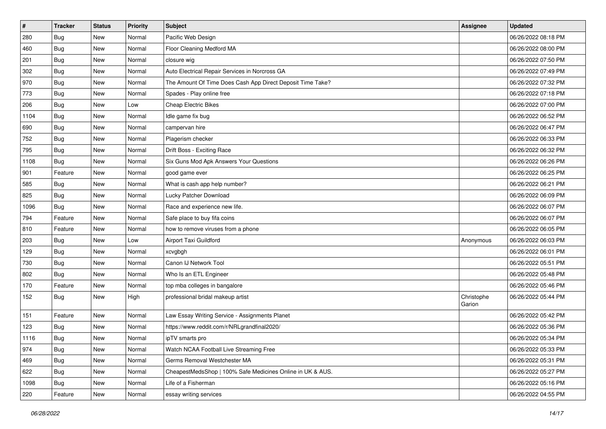| $\vert$ # | <b>Tracker</b> | <b>Status</b> | <b>Priority</b> | Subject                                                    | <b>Assignee</b>      | <b>Updated</b>      |
|-----------|----------------|---------------|-----------------|------------------------------------------------------------|----------------------|---------------------|
| 280       | <b>Bug</b>     | New           | Normal          | Pacific Web Design                                         |                      | 06/26/2022 08:18 PM |
| 460       | <b>Bug</b>     | New           | Normal          | Floor Cleaning Medford MA                                  |                      | 06/26/2022 08:00 PM |
| 201       | Bug            | New           | Normal          | closure wig                                                |                      | 06/26/2022 07:50 PM |
| 302       | <b>Bug</b>     | New           | Normal          | Auto Electrical Repair Services in Norcross GA             |                      | 06/26/2022 07:49 PM |
| 970       | Bug            | New           | Normal          | The Amount Of Time Does Cash App Direct Deposit Time Take? |                      | 06/26/2022 07:32 PM |
| 773       | <b>Bug</b>     | New           | Normal          | Spades - Play online free                                  |                      | 06/26/2022 07:18 PM |
| 206       | Bug            | New           | Low             | <b>Cheap Electric Bikes</b>                                |                      | 06/26/2022 07:00 PM |
| 1104      | <b>Bug</b>     | New           | Normal          | Idle game fix bug                                          |                      | 06/26/2022 06:52 PM |
| 690       | <b>Bug</b>     | New           | Normal          | campervan hire                                             |                      | 06/26/2022 06:47 PM |
| 752       | <b>Bug</b>     | New           | Normal          | Plagerism checker                                          |                      | 06/26/2022 06:33 PM |
| 795       | Bug            | New           | Normal          | Drift Boss - Exciting Race                                 |                      | 06/26/2022 06:32 PM |
| 1108      | <b>Bug</b>     | New           | Normal          | Six Guns Mod Apk Answers Your Questions                    |                      | 06/26/2022 06:26 PM |
| 901       | Feature        | New           | Normal          | good game ever                                             |                      | 06/26/2022 06:25 PM |
| 585       | Bug            | New           | Normal          | What is cash app help number?                              |                      | 06/26/2022 06:21 PM |
| 825       | Bug            | New           | Normal          | Lucky Patcher Download                                     |                      | 06/26/2022 06:09 PM |
| 1096      | Bug            | New           | Normal          | Race and experience new life.                              |                      | 06/26/2022 06:07 PM |
| 794       | Feature        | New           | Normal          | Safe place to buy fifa coins                               |                      | 06/26/2022 06:07 PM |
| 810       | Feature        | New           | Normal          | how to remove viruses from a phone                         |                      | 06/26/2022 06:05 PM |
| 203       | Bug            | New           | Low             | Airport Taxi Guildford                                     | Anonymous            | 06/26/2022 06:03 PM |
| 129       | <b>Bug</b>     | New           | Normal          | xcvgbgh                                                    |                      | 06/26/2022 06:01 PM |
| 730       | Bug            | New           | Normal          | Canon IJ Network Tool                                      |                      | 06/26/2022 05:51 PM |
| 802       | Bug            | New           | Normal          | Who Is an ETL Engineer                                     |                      | 06/26/2022 05:48 PM |
| 170       | Feature        | New           | Normal          | top mba colleges in bangalore                              |                      | 06/26/2022 05:46 PM |
| 152       | Bug            | New           | High            | professional bridal makeup artist                          | Christophe<br>Garion | 06/26/2022 05:44 PM |
| 151       | Feature        | New           | Normal          | Law Essay Writing Service - Assignments Planet             |                      | 06/26/2022 05:42 PM |
| 123       | <b>Bug</b>     | New           | Normal          | https://www.reddit.com/r/NRLgrandfinal2020/                |                      | 06/26/2022 05:36 PM |
| 1116      | <b>Bug</b>     | New           | Normal          | ipTV smarts pro                                            |                      | 06/26/2022 05:34 PM |
| 974       | <b>Bug</b>     | New           | Normal          | Watch NCAA Football Live Streaming Free                    |                      | 06/26/2022 05:33 PM |
| 469       | <b>Bug</b>     | New           | Normal          | Germs Removal Westchester MA                               |                      | 06/26/2022 05:31 PM |
| 622       | <b>Bug</b>     | New           | Normal          | CheapestMedsShop   100% Safe Medicines Online in UK & AUS. |                      | 06/26/2022 05:27 PM |
| 1098      | <b>Bug</b>     | New           | Normal          | Life of a Fisherman                                        |                      | 06/26/2022 05:16 PM |
| 220       | Feature        | New           | Normal          | essay writing services                                     |                      | 06/26/2022 04:55 PM |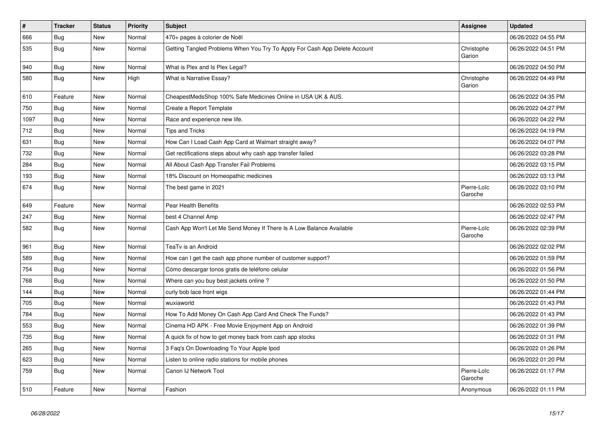| $\sharp$ | <b>Tracker</b> | <b>Status</b> | <b>Priority</b> | <b>Subject</b>                                                             | Assignee               | <b>Updated</b>      |
|----------|----------------|---------------|-----------------|----------------------------------------------------------------------------|------------------------|---------------------|
| 666      | <b>Bug</b>     | New           | Normal          | 470+ pages à colorier de Noël                                              |                        | 06/26/2022 04:55 PM |
| 535      | Bug            | New           | Normal          | Getting Tangled Problems When You Try To Apply For Cash App Delete Account | Christophe<br>Garion   | 06/26/2022 04:51 PM |
| 940      | <b>Bug</b>     | New           | Normal          | What is Plex and Is Plex Legal?                                            |                        | 06/26/2022 04:50 PM |
| 580      | <b>Bug</b>     | <b>New</b>    | High            | What is Narrative Essay?                                                   | Christophe<br>Garion   | 06/26/2022 04:49 PM |
| 610      | Feature        | New           | Normal          | CheapestMedsShop 100% Safe Medicines Online in USA UK & AUS.               |                        | 06/26/2022 04:35 PM |
| 750      | <b>Bug</b>     | New           | Normal          | Create a Report Template                                                   |                        | 06/26/2022 04:27 PM |
| 1097     | Bug            | New           | Normal          | Race and experience new life.                                              |                        | 06/26/2022 04:22 PM |
| 712      | <b>Bug</b>     | New           | Normal          | <b>Tips and Tricks</b>                                                     |                        | 06/26/2022 04:19 PM |
| 631      | Bug            | New           | Normal          | How Can I Load Cash App Card at Walmart straight away?                     |                        | 06/26/2022 04:07 PM |
| 732      | Bug            | New           | Normal          | Get rectifications steps about why cash app transfer failed                |                        | 06/26/2022 03:28 PM |
| 284      | Bug            | New           | Normal          | All About Cash App Transfer Fail Problems                                  |                        | 06/26/2022 03:15 PM |
| 193      | Bug            | New           | Normal          | 18% Discount on Homeopathic medicines                                      |                        | 06/26/2022 03:13 PM |
| 674      | Bug            | New           | Normal          | The best game in 2021                                                      | Pierre-Loïc<br>Garoche | 06/26/2022 03:10 PM |
| 649      | Feature        | New           | Normal          | Pear Health Benefits                                                       |                        | 06/26/2022 02:53 PM |
| 247      | <b>Bug</b>     | New           | Normal          | best 4 Channel Amp                                                         |                        | 06/26/2022 02:47 PM |
| 582      | <b>Bug</b>     | New           | Normal          | Cash App Won't Let Me Send Money If There Is A Low Balance Available       | Pierre-Loïc<br>Garoche | 06/26/2022 02:39 PM |
| 961      | Bug            | New           | Normal          | TeaTv is an Android                                                        |                        | 06/26/2022 02:02 PM |
| 589      | Bug            | New           | Normal          | How can I get the cash app phone number of customer support?               |                        | 06/26/2022 01:59 PM |
| 754      | <b>Bug</b>     | New           | Normal          | Cómo descargar tonos gratis de teléfono celular                            |                        | 06/26/2022 01:56 PM |
| 768      | Bug            | New           | Normal          | Where can you buy best jackets online?                                     |                        | 06/26/2022 01:50 PM |
| 144      | Bug            | New           | Normal          | curly bob lace front wigs                                                  |                        | 06/26/2022 01:44 PM |
| 705      | <b>Bug</b>     | New           | Normal          | wuxiaworld                                                                 |                        | 06/26/2022 01:43 PM |
| 784      | <b>Bug</b>     | <b>New</b>    | Normal          | How To Add Money On Cash App Card And Check The Funds?                     |                        | 06/26/2022 01:43 PM |
| 553      | <b>Bug</b>     | New           | Normal          | Cinema HD APK - Free Movie Enjoyment App on Android                        |                        | 06/26/2022 01:39 PM |
| 735      | Bug            | New           | Normal          | A quick fix of how to get money back from cash app stocks                  |                        | 06/26/2022 01:31 PM |
| 265      | Bug            | New           | Normal          | 3 Faq's On Downloading To Your Apple Ipod                                  |                        | 06/26/2022 01:26 PM |
| 623      | <b>Bug</b>     | New           | Normal          | Listen to online radio stations for mobile phones                          |                        | 06/26/2022 01:20 PM |
| 759      | <b>Bug</b>     | <b>New</b>    | Normal          | Canon IJ Network Tool                                                      | Pierre-Loïc<br>Garoche | 06/26/2022 01:17 PM |
| 510      | Feature        | New           | Normal          | Fashion                                                                    | Anonymous              | 06/26/2022 01:11 PM |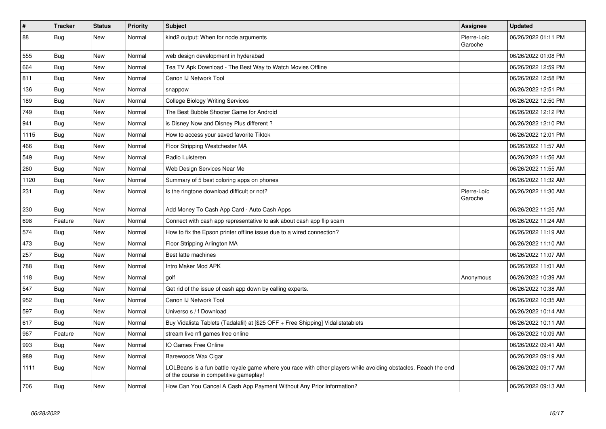| #    | <b>Tracker</b> | <b>Status</b> | <b>Priority</b> | <b>Subject</b>                                                                                                                                           | Assignee               | <b>Updated</b>      |
|------|----------------|---------------|-----------------|----------------------------------------------------------------------------------------------------------------------------------------------------------|------------------------|---------------------|
| 88   | Bug            | New           | Normal          | kind2 output: When for node arguments                                                                                                                    | Pierre-Loïc<br>Garoche | 06/26/2022 01:11 PM |
| 555  | Bug            | New           | Normal          | web design development in hyderabad                                                                                                                      |                        | 06/26/2022 01:08 PM |
| 664  | <b>Bug</b>     | New           | Normal          | Tea TV Apk Download - The Best Way to Watch Movies Offline                                                                                               |                        | 06/26/2022 12:59 PM |
| 811  | Bug            | New           | Normal          | Canon IJ Network Tool                                                                                                                                    |                        | 06/26/2022 12:58 PM |
| 136  | <b>Bug</b>     | New           | Normal          | snappow                                                                                                                                                  |                        | 06/26/2022 12:51 PM |
| 189  | <b>Bug</b>     | New           | Normal          | College Biology Writing Services                                                                                                                         |                        | 06/26/2022 12:50 PM |
| 749  | Bug            | <b>New</b>    | Normal          | The Best Bubble Shooter Game for Android                                                                                                                 |                        | 06/26/2022 12:12 PM |
| 941  | <b>Bug</b>     | New           | Normal          | is Disney Now and Disney Plus different?                                                                                                                 |                        | 06/26/2022 12:10 PM |
| 1115 | <b>Bug</b>     | New           | Normal          | How to access your saved favorite Tiktok                                                                                                                 |                        | 06/26/2022 12:01 PM |
| 466  | Bug            | New           | Normal          | Floor Stripping Westchester MA                                                                                                                           |                        | 06/26/2022 11:57 AM |
| 549  | <b>Bug</b>     | <b>New</b>    | Normal          | Radio Luisteren                                                                                                                                          |                        | 06/26/2022 11:56 AM |
| 260  | <b>Bug</b>     | New           | Normal          | Web Design Services Near Me                                                                                                                              |                        | 06/26/2022 11:55 AM |
| 1120 | <b>Bug</b>     | New           | Normal          | Summary of 5 best coloring apps on phones                                                                                                                |                        | 06/26/2022 11:32 AM |
| 231  | Bug            | New           | Normal          | Is the ringtone download difficult or not?                                                                                                               | Pierre-Loïc<br>Garoche | 06/26/2022 11:30 AM |
| 230  | <b>Bug</b>     | <b>New</b>    | Normal          | Add Money To Cash App Card - Auto Cash Apps                                                                                                              |                        | 06/26/2022 11:25 AM |
| 698  | Feature        | New           | Normal          | Connect with cash app representative to ask about cash app flip scam                                                                                     |                        | 06/26/2022 11:24 AM |
| 574  | <b>Bug</b>     | New           | Normal          | How to fix the Epson printer offline issue due to a wired connection?                                                                                    |                        | 06/26/2022 11:19 AM |
| 473  | <b>Bug</b>     | New           | Normal          | Floor Stripping Arlington MA                                                                                                                             |                        | 06/26/2022 11:10 AM |
| 257  | <b>Bug</b>     | New           | Normal          | Best latte machines                                                                                                                                      |                        | 06/26/2022 11:07 AM |
| 788  | Bug            | New           | Normal          | Intro Maker Mod APK                                                                                                                                      |                        | 06/26/2022 11:01 AM |
| 118  | <b>Bug</b>     | New           | Normal          | golf                                                                                                                                                     | Anonymous              | 06/26/2022 10:39 AM |
| 547  | Bug            | New           | Normal          | Get rid of the issue of cash app down by calling experts.                                                                                                |                        | 06/26/2022 10:38 AM |
| 952  | <b>Bug</b>     | New           | Normal          | Canon IJ Network Tool                                                                                                                                    |                        | 06/26/2022 10:35 AM |
| 597  | <b>Bug</b>     | <b>New</b>    | Normal          | Universo s / f Download                                                                                                                                  |                        | 06/26/2022 10:14 AM |
| 617  | <b>Bug</b>     | <b>New</b>    | Normal          | Buy Vidalista Tablets (Tadalafil) at [\$25 OFF + Free Shipping] Vidalistatablets                                                                         |                        | 06/26/2022 10:11 AM |
| 967  | Feature        | New           | Normal          | stream live nfl games free online                                                                                                                        |                        | 06/26/2022 10:09 AM |
| 993  | <b>Bug</b>     | <b>New</b>    | Normal          | IO Games Free Online                                                                                                                                     |                        | 06/26/2022 09:41 AM |
| 989  | Bug            | New           | Normal          | Barewoods Wax Cigar                                                                                                                                      |                        | 06/26/2022 09:19 AM |
| 1111 | <b>Bug</b>     | New           | Normal          | LOLBeans is a fun battle royale game where you race with other players while avoiding obstacles. Reach the end<br>of the course in competitive gameplay! |                        | 06/26/2022 09:17 AM |
| 706  | <b>Bug</b>     | New           | Normal          | How Can You Cancel A Cash App Payment Without Any Prior Information?                                                                                     |                        | 06/26/2022 09:13 AM |